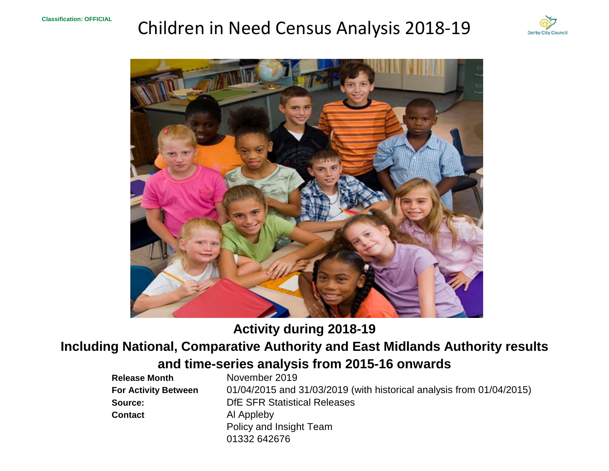# Children in Need Census Analysis 2018‐19





## **Activity during 2018-19**

## **Including National, Comparative Authority and East Midlands Authority results**

## **and time-series analysis from 2015-16 onwards**

| <b>Release Month</b>        | November 2019                                                        |
|-----------------------------|----------------------------------------------------------------------|
| <b>For Activity Between</b> | 01/04/2015 and 31/03/2019 (with historical analysis from 01/04/2015) |
| Source:                     | <b>DfE SFR Statistical Releases</b>                                  |
| <b>Contact</b>              | Al Appleby                                                           |
|                             | Policy and Insight Team                                              |
|                             | 01332 642676                                                         |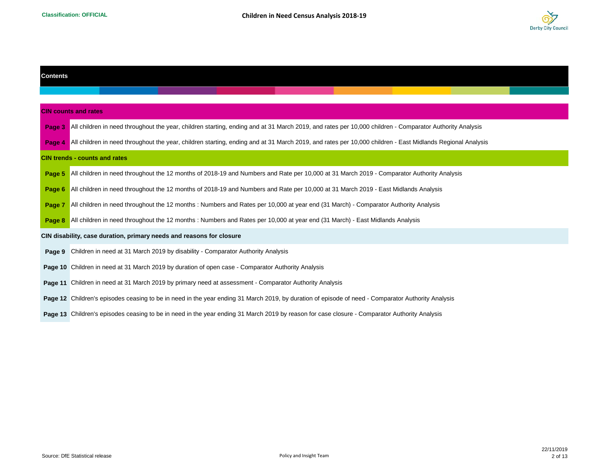

| <b>Contents</b> |                                                                                                                                                           |  |  |  |  |  |  |  |  |  |  |
|-----------------|-----------------------------------------------------------------------------------------------------------------------------------------------------------|--|--|--|--|--|--|--|--|--|--|
|                 |                                                                                                                                                           |  |  |  |  |  |  |  |  |  |  |
|                 | <b>CIN counts and rates</b>                                                                                                                               |  |  |  |  |  |  |  |  |  |  |
| Page 3          | All children in need throughout the year, children starting, ending and at 31 March 2019, and rates per 10,000 children - Comparator Authority Analysis   |  |  |  |  |  |  |  |  |  |  |
| Page            | All children in need throughout the year, children starting, ending and at 31 March 2019, and rates per 10,000 children - East Midlands Regional Analysis |  |  |  |  |  |  |  |  |  |  |
|                 | <b>CIN trends - counts and rates</b>                                                                                                                      |  |  |  |  |  |  |  |  |  |  |
| Page 5          | All children in need throughout the 12 months of 2018-19 and Numbers and Rate per 10,000 at 31 March 2019 - Comparator Authority Analysis                 |  |  |  |  |  |  |  |  |  |  |
| Page 6          | All children in need throughout the 12 months of 2018-19 and Numbers and Rate per 10,000 at 31 March 2019 - East Midlands Analysis                        |  |  |  |  |  |  |  |  |  |  |
| Page 7          | All children in need throughout the 12 months: Numbers and Rates per 10,000 at year end (31 March) - Comparator Authority Analysis                        |  |  |  |  |  |  |  |  |  |  |
|                 | Page 8 All children in need throughout the 12 months: Numbers and Rates per 10,000 at year end (31 March) - East Midlands Analysis                        |  |  |  |  |  |  |  |  |  |  |
|                 | CIN disability, case duration, primary needs and reasons for closure                                                                                      |  |  |  |  |  |  |  |  |  |  |
| Page 9          | Children in need at 31 March 2019 by disability - Comparator Authority Analysis                                                                           |  |  |  |  |  |  |  |  |  |  |
|                 | <b>Page 10</b> Children in need at 31 March 2019 by duration of open case - Comparator Authority Analysis                                                 |  |  |  |  |  |  |  |  |  |  |
|                 | Page 11 Children in need at 31 March 2019 by primary need at assessment - Comparator Authority Analysis                                                   |  |  |  |  |  |  |  |  |  |  |
|                 | Page 12 Children's episodes ceasing to be in need in the year ending 31 March 2019, by duration of episode of need - Comparator Authority Analysis        |  |  |  |  |  |  |  |  |  |  |
|                 | Page 13 Children's episodes ceasing to be in need in the year ending 31 March 2019 by reason for case closure - Comparator Authority Analysis             |  |  |  |  |  |  |  |  |  |  |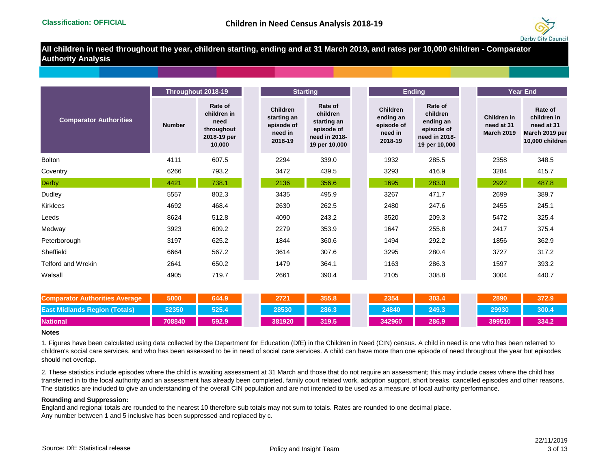

**All children in need throughout the year, children starting, ending and at 31 March 2019, and rates per 10,000 children - Comparator Authority Analysis**

|                                       | Throughout 2018-19 |                                                                       |                                                                    | <b>Starting</b>                                                                    |                                                                  | <b>Ending</b>                                                                    |                                                | <b>Year End</b>                                                           |
|---------------------------------------|--------------------|-----------------------------------------------------------------------|--------------------------------------------------------------------|------------------------------------------------------------------------------------|------------------------------------------------------------------|----------------------------------------------------------------------------------|------------------------------------------------|---------------------------------------------------------------------------|
| <b>Comparator Authorities</b>         | <b>Number</b>      | Rate of<br>children in<br>need<br>throughout<br>2018-19 per<br>10,000 | <b>Children</b><br>starting an<br>episode of<br>need in<br>2018-19 | Rate of<br>children<br>starting an<br>episode of<br>need in 2018-<br>19 per 10,000 | <b>Children</b><br>ending an<br>episode of<br>need in<br>2018-19 | Rate of<br>children<br>ending an<br>episode of<br>need in 2018-<br>19 per 10,000 | Children in<br>need at 31<br><b>March 2019</b> | Rate of<br>children in<br>need at 31<br>March 2019 per<br>10,000 children |
| <b>Bolton</b>                         | 4111               | 607.5                                                                 | 2294                                                               | 339.0                                                                              | 1932                                                             | 285.5                                                                            | 2358                                           | 348.5                                                                     |
| Coventry                              | 6266               | 793.2                                                                 | 3472                                                               | 439.5                                                                              | 3293                                                             | 416.9                                                                            | 3284                                           | 415.7                                                                     |
| <b>Derby</b>                          | 4421               | 738.1                                                                 | 2136                                                               | 356.6                                                                              | 1695                                                             | 283.0                                                                            | 2922                                           | 487.8                                                                     |
| Dudley                                | 5557               | 802.3                                                                 | 3435                                                               | 495.9                                                                              | 3267                                                             | 471.7                                                                            | 2699                                           | 389.7                                                                     |
| <b>Kirklees</b>                       | 4692               | 468.4                                                                 | 2630                                                               | 262.5                                                                              | 2480                                                             | 247.6                                                                            | 2455                                           | 245.1                                                                     |
| Leeds                                 | 8624               | 512.8                                                                 | 4090                                                               | 243.2                                                                              | 3520                                                             | 209.3                                                                            | 5472                                           | 325.4                                                                     |
| Medway                                | 3923               | 609.2                                                                 | 2279                                                               | 353.9                                                                              | 1647                                                             | 255.8                                                                            | 2417                                           | 375.4                                                                     |
| Peterborough                          | 3197               | 625.2                                                                 | 1844                                                               | 360.6                                                                              | 1494                                                             | 292.2                                                                            | 1856                                           | 362.9                                                                     |
| Sheffield                             | 6664               | 567.2                                                                 | 3614                                                               | 307.6                                                                              | 3295                                                             | 280.4                                                                            | 3727                                           | 317.2                                                                     |
| <b>Telford and Wrekin</b>             | 2641               | 650.2                                                                 | 1479                                                               | 364.1                                                                              | 1163                                                             | 286.3                                                                            | 1597                                           | 393.2                                                                     |
| Walsall                               | 4905               | 719.7                                                                 | 2661                                                               | 390.4                                                                              | 2105                                                             | 308.8                                                                            | 3004                                           | 440.7                                                                     |
| <b>Comparator Authorities Average</b> | 5000               | 644.9                                                                 | 2721                                                               | 355.8                                                                              | 2354                                                             | 303.4                                                                            | 2890                                           | 372.9                                                                     |
| <b>East Midlands Region (Totals)</b>  | 52350              | 525.4                                                                 | 28530                                                              | 286.3                                                                              | 24840                                                            | 249.3                                                                            | 29930                                          | 300.4                                                                     |
| <b>National</b>                       | 708840             | 592.9                                                                 | 381920                                                             | 319.5                                                                              | 342960                                                           | 286.9                                                                            | 399510                                         | 334.2                                                                     |

## **Notes**

1. Figures have been calculated using data collected by the Department for Education (DfE) in the Children in Need (CIN) census. A child in need is one who has been referred to children's social care services, and who has been assessed to be in need of social care services. A child can have more than one episode of need throughout the year but episodes should not overlap.

2. These statistics include episodes where the child is awaiting assessment at 31 March and those that do not require an assessment; this may include cases where the child has transferred in to the local authority and an assessment has already been completed, family court related work, adoption support, short breaks, cancelled episodes and other reasons. The statistics are included to give an understanding of the overall CIN population and are not intended to be used as a measure of local authority performance.

## **Rounding and Suppression:**

Any number between 1 and 5 inclusive has been suppressed and replaced by c. England and regional totals are rounded to the nearest 10 therefore sub totals may not sum to totals. Rates are rounded to one decimal place.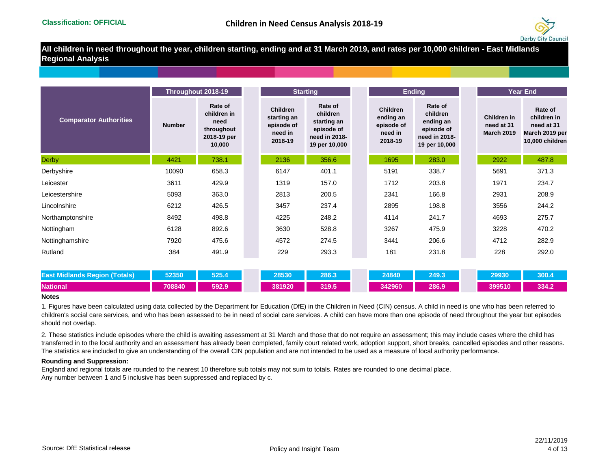

**All children in need throughout the year, children starting, ending and at 31 March 2019, and rates per 10,000 children - East Midlands Regional Analysis**

|                                      | Throughout 2018-19 |                                                                       |                                                                    | <b>Starting</b>                                                                    |                                                                  | <b>Ending</b>                                                                    |                                                | <b>Year End</b>                                                           |
|--------------------------------------|--------------------|-----------------------------------------------------------------------|--------------------------------------------------------------------|------------------------------------------------------------------------------------|------------------------------------------------------------------|----------------------------------------------------------------------------------|------------------------------------------------|---------------------------------------------------------------------------|
| <b>Comparator Authorities</b>        | <b>Number</b>      | Rate of<br>children in<br>need<br>throughout<br>2018-19 per<br>10,000 | <b>Children</b><br>starting an<br>episode of<br>need in<br>2018-19 | Rate of<br>children<br>starting an<br>episode of<br>need in 2018-<br>19 per 10,000 | <b>Children</b><br>ending an<br>episode of<br>need in<br>2018-19 | Rate of<br>children<br>ending an<br>episode of<br>need in 2018-<br>19 per 10,000 | Children in<br>need at 31<br><b>March 2019</b> | Rate of<br>children in<br>need at 31<br>March 2019 per<br>10,000 children |
| <b>Derby</b>                         | 4421               | 738.1                                                                 | 2136                                                               | 356.6                                                                              | 1695                                                             | 283.0                                                                            | 2922                                           | 487.8                                                                     |
| Derbyshire                           | 10090              | 658.3                                                                 | 6147                                                               | 401.1                                                                              | 5191                                                             | 338.7                                                                            | 5691                                           | 371.3                                                                     |
| Leicester                            | 3611               | 429.9                                                                 | 1319                                                               | 157.0                                                                              | 1712                                                             | 203.8                                                                            | 1971                                           | 234.7                                                                     |
| Leicestershire                       | 5093               | 363.0                                                                 | 2813                                                               | 200.5                                                                              | 2341                                                             | 166.8                                                                            | 2931                                           | 208.9                                                                     |
| Lincolnshire                         | 6212               | 426.5                                                                 | 3457                                                               | 237.4                                                                              | 2895                                                             | 198.8                                                                            | 3556                                           | 244.2                                                                     |
| Northamptonshire                     | 8492               | 498.8                                                                 | 4225                                                               | 248.2                                                                              | 4114                                                             | 241.7                                                                            | 4693                                           | 275.7                                                                     |
| Nottingham                           | 6128               | 892.6                                                                 | 3630                                                               | 528.8                                                                              | 3267                                                             | 475.9                                                                            | 3228                                           | 470.2                                                                     |
| Nottinghamshire                      | 7920               | 475.6                                                                 | 4572                                                               | 274.5                                                                              | 3441                                                             | 206.6                                                                            | 4712                                           | 282.9                                                                     |
| Rutland                              | 384                | 491.9                                                                 | 229                                                                | 293.3                                                                              | 181                                                              | 231.8                                                                            | 228                                            | 292.0                                                                     |
|                                      |                    |                                                                       |                                                                    |                                                                                    |                                                                  |                                                                                  |                                                |                                                                           |
| <b>East Midlands Region (Totals)</b> | 52350              | 525.4                                                                 | 28530                                                              | 286.3                                                                              | 24840                                                            | 249.3                                                                            | 29930                                          | 300.4                                                                     |
| <b>National</b>                      | 708840             | 592.9                                                                 | 381920                                                             | 319.5                                                                              | 342960                                                           | 286.9                                                                            | 399510                                         | 334.2                                                                     |

## **Notes**

1. Figures have been calculated using data collected by the Department for Education (DfE) in the Children in Need (CIN) census. A child in need is one who has been referred to children's social care services, and who has been assessed to be in need of social care services. A child can have more than one episode of need throughout the year but episodes should not overlap.

2. These statistics include episodes where the child is awaiting assessment at 31 March and those that do not require an assessment; this may include cases where the child has transferred in to the local authority and an assessment has already been completed, family court related work, adoption support, short breaks, cancelled episodes and other reasons. The statistics are included to give an understanding of the overall CIN population and are not intended to be used as a measure of local authority performance.

## **Rounding and Suppression:**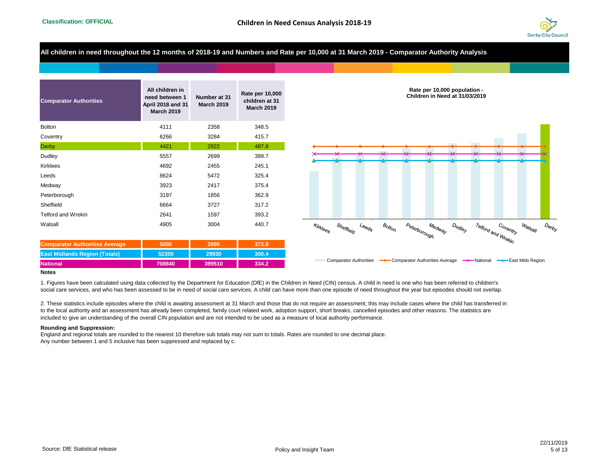

**All children in need throughout the 12 months of 2018-19 and Numbers and Rate per 10,000 at 31 March 2019 - Comparator Authority Analysis**

| <b>Comparator Authorities</b> | All children in<br>need between 1<br><b>April 2018 and 31</b><br><b>March 2019</b> | Number at 31<br><b>March 2019</b> | Rate per 10,000<br>children at 31<br><b>March 2019</b> |
|-------------------------------|------------------------------------------------------------------------------------|-----------------------------------|--------------------------------------------------------|
| <b>Bolton</b>                 | 4111                                                                               | 2358                              | 348.5                                                  |
| Coventry                      | 6266                                                                               | 3284                              | 415.7                                                  |
| <b>Derby</b>                  | 4421                                                                               | 2922                              | 487.8                                                  |
| Dudley                        | 5557                                                                               | 2699                              | 389.7                                                  |
| <b>Kirklees</b>               | 4692                                                                               | 2455                              | 245.1                                                  |
| Leeds                         | 8624                                                                               | 5472                              | 325.4                                                  |
| Medway                        | 3923                                                                               | 2417                              | 375.4                                                  |
| Peterborough                  | 3197                                                                               | 1856                              | 362.9                                                  |
| Sheffield                     | 6664                                                                               | 3727                              | 317.2                                                  |
| <b>Telford and Wrekin</b>     | 2641                                                                               | 1597                              | 393.2                                                  |
| Walsall                       | 4905                                                                               | 3004                              | 440.7                                                  |

| <b>Comparator Authorities Average</b> | 5000   | 2890   | 372.9 |  |  |
|---------------------------------------|--------|--------|-------|--|--|
| <b>East Midlands Region (Totals)</b>  | 52350  | 29930  | 300.4 |  |  |
| <b>National</b>                       | 708840 | 399510 | 334.2 |  |  |



#### **Notes**

1. Figures have been calculated using data collected by the Department for Education (DfE) in the Children in Need (CIN) census. A child in need is one who has been referred to children's social care services, and who has been assessed to be in need of social care services. A child can have more than one episode of need throughout the year but episodes should not overlap.

2. These statistics include episodes where the child is awaiting assessment at 31 March and those that do not require an assessment; this may include cases where the child has transferred in to the local authority and an assessment has already been completed, family court related work, adoption support, short breaks, cancelled episodes and other reasons. The statistics are included to give an understanding of the overall CIN population and are not intended to be used as a measure of local authority performance.

#### **Rounding and Suppression:**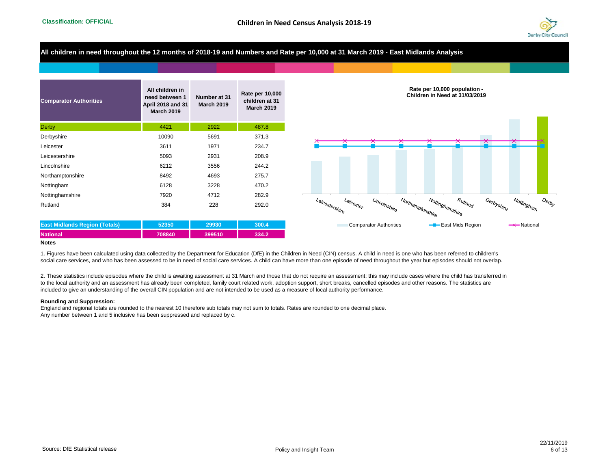

## **All children in need throughout the 12 months of 2018-19 and Numbers and Rate per 10,000 at 31 March 2019 - East Midlands Analysis**

| <b>Comparator Authorities</b>        | All children in<br>need between 1<br><b>April 2018 and 31</b><br><b>March 2019</b> | Number at 31<br><b>March 2019</b> | Rate per 10,000<br>children at 31<br><b>March 2019</b> |
|--------------------------------------|------------------------------------------------------------------------------------|-----------------------------------|--------------------------------------------------------|
| <b>Derby</b>                         | 4421                                                                               | 2922                              | 487.8                                                  |
| Derbyshire                           | 10090                                                                              | 5691                              | 371.3                                                  |
| Leicester                            | 3611                                                                               | 1971                              | 234.7                                                  |
| Leicestershire                       | 5093                                                                               | 2931                              | 208.9                                                  |
| Lincolnshire                         | 6212                                                                               | 3556                              | 244.2                                                  |
| Northamptonshire                     | 8492                                                                               | 4693                              | 275.7                                                  |
| Nottingham                           | 6128                                                                               | 3228                              | 470.2                                                  |
| Nottinghamshire                      | 7920                                                                               | 4712                              | 282.9                                                  |
| Rutland                              | 384                                                                                | 228                               | 292.0                                                  |
| <b>East Midlands Region (Totals)</b> | 52350                                                                              | 29930                             | 300.4                                                  |

**National 708840 399510 334.2**



#### **Notes**

1. Figures have been calculated using data collected by the Department for Education (DfE) in the Children in Need (CIN) census. A child in need is one who has been referred to children's social care services, and who has been assessed to be in need of social care services. A child can have more than one episode of need throughout the year but episodes should not overlap.

2. These statistics include episodes where the child is awaiting assessment at 31 March and those that do not require an assessment; this may include cases where the child has transferred in to the local authority and an assessment has already been completed, family court related work, adoption support, short breaks, cancelled episodes and other reasons. The statistics are included to give an understanding of the overall CIN population and are not intended to be used as a measure of local authority performance.

#### **Rounding and Suppression:**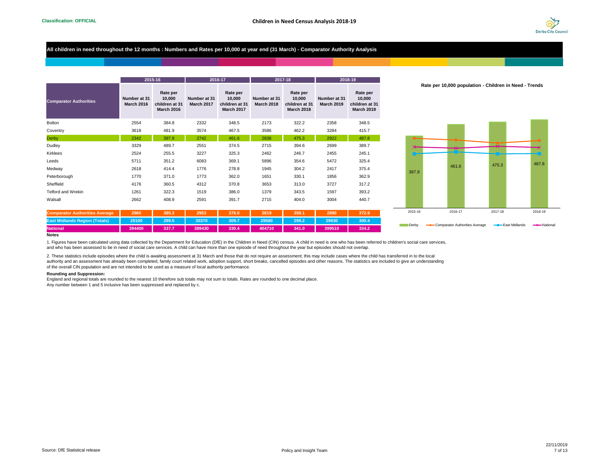334.2



## **All children in need throughout the 12 months : Numbers and Rates per 10,000 at year end (31 March) - Comparator Authority Analysis**

|                                       |                                   | 2015-16                                                   |                                   | 2016-17                                                   |                                   | 2017-18                                                   | 2018-19                           |                                                           |  |
|---------------------------------------|-----------------------------------|-----------------------------------------------------------|-----------------------------------|-----------------------------------------------------------|-----------------------------------|-----------------------------------------------------------|-----------------------------------|-----------------------------------------------------------|--|
| <b>Comparator Authorities</b>         | Number at 31<br><b>March 2016</b> | Rate per<br>10,000<br>children at 31<br><b>March 2016</b> | Number at 31<br><b>March 2017</b> | Rate per<br>10.000<br>children at 31<br><b>March 2017</b> | Number at 31<br><b>March 2018</b> | Rate per<br>10,000<br>children at 31<br><b>March 2018</b> | Number at 31<br><b>March 2019</b> | Rate per<br>10,000<br>children at 31<br><b>March 2019</b> |  |
| <b>Bolton</b>                         | 2554                              | 384.8                                                     | 2332                              | 348.5                                                     | 2173                              | 322.2                                                     | 2358                              | 348.5                                                     |  |
| Coventry                              | 3618                              | 481.9                                                     | 3574                              | 467.5                                                     | 3586                              | 462.2                                                     | 3284                              | 415.7                                                     |  |
| Derby                                 | 2342                              | 397.9                                                     | 2742                              | 461.6                                                     | 2836                              | 475.3                                                     | 2922                              | 487.8                                                     |  |
| Dudley                                | 3329                              | 489.7                                                     | 2551                              | 374.5                                                     | 2715                              | 394.6                                                     | 2699                              | 389.7                                                     |  |
| <b>Kirklees</b>                       | 2524                              | 255.5                                                     | 3227                              | 325.3                                                     | 2462                              | 246.7                                                     | 2455                              | 245.1                                                     |  |
| Leeds                                 | 5711                              | 351.2                                                     | 6083                              | 369.1                                                     | 5896                              | 354.6                                                     | 5472                              | 325.4                                                     |  |
| Medway                                | 2618                              | 414.4                                                     | 1776                              | 278.8                                                     | 1945                              | 304.2                                                     | 2417                              | 375.4                                                     |  |
| Peterborough                          | 1770                              | 371.0                                                     | 1773                              | 362.0                                                     | 1651                              | 330.1                                                     | 1856                              | 362.9                                                     |  |
| Sheffield                             | 4176                              | 360.5                                                     | 4312                              | 370.8                                                     | 3653                              | 313.0                                                     | 3727                              | 317.2                                                     |  |
| <b>Telford and Wrekin</b>             | 1261                              | 322.3                                                     | 1519                              | 386.0                                                     | 1379                              | 343.5                                                     | 1597                              | 393.2                                                     |  |
| Walsall                               | 2662                              | 408.9                                                     | 2591                              | 391.7                                                     | 2715                              | 404.0                                                     | 3004                              | 440.7                                                     |  |
| <b>Comparator Authorities Average</b> | 2960                              | 385.3                                                     | 2953                              | 376.0                                                     | 2819                              | 359.1                                                     | 2890                              | 372.9                                                     |  |

**East Midlands Region (Totals) 29100 299.5 30370 309.7 29580 299.2 29930 300.4 National 394400 337.7 389430 330.4 404710 341.0 399510 334.2**

**Rate per 10,000 population - Children in Need - Trends**



#### **Notes**

1. Figures have been calculated using data collected by the Department for Education (DfE) in the Children in Need (CIN) census. A child in need is one who has been referred to children's social care services, and who has been assessed to be in need of social care services. A child can have more than one episode of need throughout the year but episodes should not overlap.

2. These statistics include episodes where the child is awaiting assessment at 31 March and those that do not require an assessment; this may include cases where the child has transferred in to the local authority and an assessment has already been completed, family court related work, adoption support, short breaks, cancelled episodes and other reasons. The statistics are included to give an understanding of the overall CIN population and are not intended to be used as a measure of local authority performance.

#### **Rounding and Suppression:**

England and regional totals are rounded to the nearest 10 therefore sub totals may not sum to totals. Rates are rounded to one decimal place.

Any number between 1 and 5 inclusive has been suppressed and replaced by c.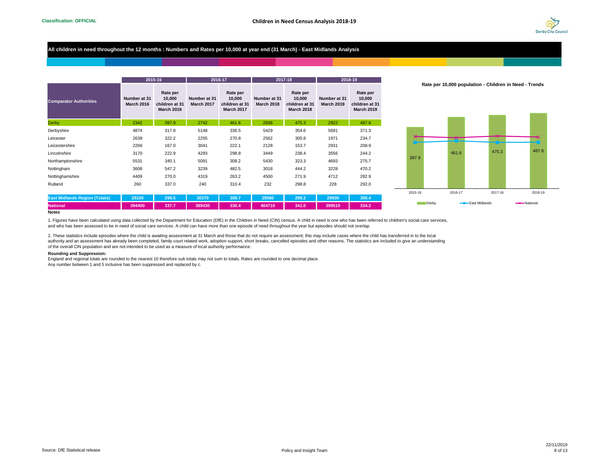

## **All children in need throughout the 12 months : Numbers and Rates per 10,000 at year end (31 March) - East Midlands Analysis**

|                                      |                            | 2015-16                                                   |                            | 2016-17                                                   |                                   | 2017-18                                                   | 2018-19                           |                                                           |  |
|--------------------------------------|----------------------------|-----------------------------------------------------------|----------------------------|-----------------------------------------------------------|-----------------------------------|-----------------------------------------------------------|-----------------------------------|-----------------------------------------------------------|--|
| <b>Comparator Authorities</b>        | Number at 31<br>March 2016 | Rate per<br>10.000<br>children at 31<br><b>March 2016</b> | Number at 31<br>March 2017 | Rate per<br>10.000<br>children at 31<br><b>March 2017</b> | Number at 31<br><b>March 2018</b> | Rate per<br>10.000<br>children at 31<br><b>March 2018</b> | Number at 31<br><b>March 2019</b> | Rate per<br>10.000<br>children at 31<br><b>March 2019</b> |  |
| <b>Derby</b>                         | 2342                       | 397.9                                                     | 2742                       | 461.6                                                     | 2836                              | 475.3                                                     | 2922                              | 487.8                                                     |  |
| Derbyshire                           | 4874                       | 317.8                                                     | 5148                       | 336.5                                                     | 5429                              | 354.6                                                     | 5691                              | 371.3                                                     |  |
| Leicester                            | 2638                       | 322.2                                                     | 2255                       | 270.8                                                     | 2562                              | 305.8                                                     | 1971                              | 234.7                                                     |  |
| Leicestershire                       | 2266                       | 167.0                                                     | 3041                       | 222.1                                                     | 2128                              | 153.7                                                     | 2931                              | 208.9                                                     |  |
| Lincolnshire                         | 3170                       | 222.9                                                     | 4293                       | 298.8                                                     | 3449                              | 238.4                                                     | 3556                              | 244.2                                                     |  |
| Northamptonshire                     | 5531                       | 340.1                                                     | 5091                       | 308.2                                                     | 5430                              | 323.3                                                     | 4693                              | 275.7                                                     |  |
| Nottingham                           | 3608                       | 547.2                                                     | 3239                       | 482.5                                                     | 3018                              | 444.2                                                     | 3228                              | 470.2                                                     |  |
| Nottinghamshire                      | 4409                       | 270.0                                                     | 4319                       | 263.2                                                     | 4500                              | 271.9                                                     | 4712                              | 282.9                                                     |  |
| Rutland                              | 260                        | 337.0                                                     | 240                        | 310.4                                                     | 232                               | 298.8                                                     | 228                               | 292.0                                                     |  |
|                                      |                            |                                                           |                            |                                                           |                                   |                                                           |                                   |                                                           |  |
| <b>East Midlands Region (Totals)</b> | 29100                      | 299.5                                                     | 30370                      | 309.7                                                     | 29580                             | 299.2                                                     | 29930                             | 300.4                                                     |  |
| <b>National</b>                      | 394400                     | 337.7                                                     | 389430                     | 330.4                                                     | 404710                            | 341.0                                                     | 399510                            | 334.2                                                     |  |
| <b>Notes</b>                         |                            |                                                           |                            |                                                           |                                   |                                                           |                                   |                                                           |  |

**Rate per 10,000 population - Children in Need - Trends**



1. Figures have been calculated using data collected by the Department for Education (DfE) in the Children in Need (CIN) census. A child in need is one who has been referred to children's social care services,

and who has been assessed to be in need of social care services. A child can have more than one episode of need throughout the year but episodes should not overlap.

2. These statistics include episodes where the child is awaiting assessment at 31 March and those that do not require an assessment; this may include cases where the child has transferred in to the local authority and an assessment has already been completed, family court related work, adoption support, short breaks, cancelled episodes and other reasons. The statistics are included to give an understanding of the overall CIN population and are not intended to be used as a measure of local authority performance.

#### **Rounding and Suppression:**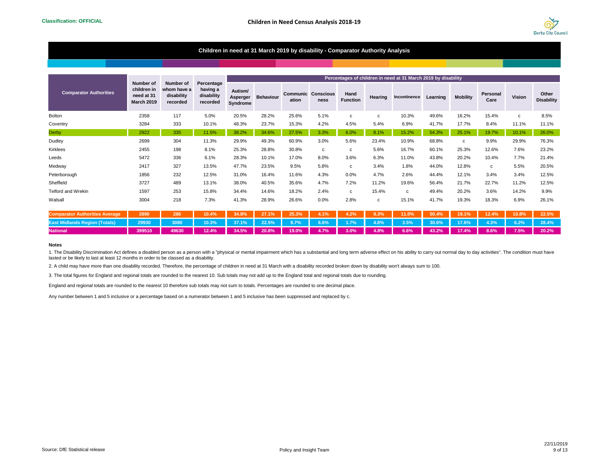

## **Children in need at 31 March 2019 by disability - Comparator Authority Analysis**

|                                       |                                                             |                                       | Percentage<br>Number of<br>having a<br>disability<br>recorded |                                 |                  |                   |                          |                         |              | Percentages of children in need at 31 March 2019 by disability |          |                 |                  |        |                            |
|---------------------------------------|-------------------------------------------------------------|---------------------------------------|---------------------------------------------------------------|---------------------------------|------------------|-------------------|--------------------------|-------------------------|--------------|----------------------------------------------------------------|----------|-----------------|------------------|--------|----------------------------|
| <b>Comparator Authorities</b>         | Number of<br>children in<br>need at 31<br><b>March 2019</b> | whom have a<br>disability<br>recorded |                                                               | Autism/<br>Asperger<br>Syndrome | <b>Behaviour</b> | Communic<br>ation | <b>Conscious</b><br>ness | Hand<br><b>Function</b> | Hearing      | Incontinence                                                   | Learning | <b>Mobility</b> | Personal<br>Care | Vision | Other<br><b>Disability</b> |
| <b>Bolton</b>                         | 2358                                                        | 117                                   | 5.0%                                                          | 20.5%                           | 28.2%            | 25.6%             | 5.1%                     | $\mathbf c$             | $\mathbf{c}$ | 10.3%                                                          | 49.6%    | 16.2%           | 15.4%            | c      | 8.5%                       |
| Coventry                              | 3284                                                        | 333                                   | 10.1%                                                         | 48.3%                           | 23.7%            | 15.3%             | 4.2%                     | 4.5%                    | 5.4%         | 6.9%                                                           | 41.7%    | 17.7%           | 8.4%             | 11.1%  | 11.1%                      |
| <b>Derby</b>                          | 2922                                                        | 335                                   | 11.5%                                                         | 38.2%                           | 34.6%            | 27.5%             | 3.3%                     | 6.0%                    | 8.1%         | 15.2%                                                          | 54.3%    | 25.1%           | 19.7%            | 10.1%  | 26.0%                      |
| Dudley                                | 2699                                                        | 304                                   | 11.3%                                                         | 29.9%                           | 49.3%            | 60.9%             | 3.0%                     | 5.6%                    | 23.4%        | 10.9%                                                          | 68.8%    | C               | 9.9%             | 29.9%  | 76.3%                      |
| Kirklees                              | 2455                                                        | 198                                   | 8.1%                                                          | 25.3%                           | 28.8%            | 30.8%             | c                        | c                       | 5.6%         | 16.7%                                                          | 60.1%    | 25.3%           | 12.6%            | 7.6%   | 23.2%                      |
| Leeds                                 | 5472                                                        | 336                                   | 6.1%                                                          | 28.3%                           | 10.1%            | 17.0%             | 8.0%                     | 3.6%                    | 6.3%         | 11.0%                                                          | 43.8%    | 20.2%           | 10.4%            | 7.7%   | 21.4%                      |
| Medway                                | 2417                                                        | 327                                   | 13.5%                                                         | 47.7%                           | 23.5%            | 9.5%              | 5.8%                     | $\mathbf c$             | 3.4%         | 1.8%                                                           | 44.0%    | 12.8%           | c                | 5.5%   | 20.5%                      |
| Peterborough                          | 1856                                                        | 232                                   | 12.5%                                                         | 31.0%                           | 16.4%            | 11.6%             | 4.3%                     | 0.0%                    | 4.7%         | 2.6%                                                           | 44.4%    | 12.1%           | 3.4%             | 3.4%   | 12.5%                      |
| Sheffield                             | 3727                                                        | 489                                   | 13.1%                                                         | 38.0%                           | 40.5%            | 35.6%             | 4.7%                     | 7.2%                    | 11.2%        | 19.6%                                                          | 56.4%    | 21.7%           | 22.7%            | 11.2%  | 12.5%                      |
| Telford and Wrekin                    | 1597                                                        | 253                                   | 15.8%                                                         | 34.4%                           | 14.6%            | 18.2%             | 2.4%                     | $\mathbf{c}$            | 15.4%        | $\mathbf{C}$                                                   | 49.4%    | 20.2%           | 3.6%             | 14.2%  | 9.9%                       |
| Walsall                               | 3004                                                        | 218                                   | 7.3%                                                          | 41.3%                           | 28.9%            | 26.6%             | 0.0%                     | 2.8%                    | c            | 15.1%                                                          | 41.7%    | 19.3%           | 18.3%            | 6.9%   | 26.1%                      |
| <b>Comparator Authorities Average</b> | 2890                                                        | 286                                   | 10.4%                                                         | 34.8%                           | 27.1%            | 25.3%             | 4.1%                     | 4.2%                    | 9.3%         | 11.0%                                                          | 50.4%    | 19.1%           | 12.4%            | 10.8%  | 22.5%                      |

#### **Notes**

1. The Disability Discrimination Act defines a disabled person as a person with a "physical or mental impairment which has a substantial and long term adverse effect on his ability to carry out normal day to day activities lasted or be likely to last at least 12 months in order to be classed as a disability.

East Midlands Region (Totals) 29930 3080 10.3% 37.1% 22.5% 9.7% 6.6% 1.7% 4.8% 3.5% 30.6% 17.6% 4.3% 6.2% 28.4% **National 399510 49630 12.4% 34.5% 20.8% 19.0% 4.7% 3.0% 4.8% 6.6% 43.2% 17.4% 8.6% 7.5% 20.2%**

2. A child may have more than one disability recorded. Therefore, the percentage of children in need at 31 March with a disability recorded broken down by disability won't always sum to 100.

3. The total figures for England and regional totals are rounded to the nearest 10. Sub totals may not add up to the England total and regional totals due to rounding.

England and regional totals are rounded to the nearest 10 therefore sub totals may not sum to totals. Percentages are rounded to one decimal place.

Any number between 1 and 5 inclusive or a percentage based on a numerator between 1 and 5 inclusive has been suppressed and replaced by c.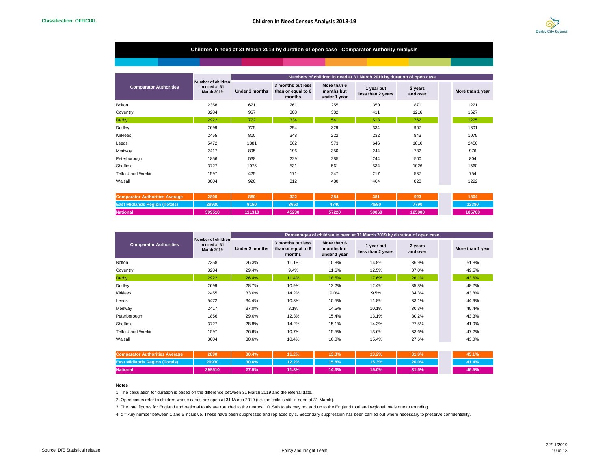

## **Children in need at 31 March 2019 by duration of open case - Comparator Authority Analysis**

|                               | <b>Number of children</b><br>in need at 31<br><b>March 2019</b> | Numbers of children in need at 31 March 2019 by duration of open case |                                                   |                                           |                                 |                     |  |                  |  |  |  |
|-------------------------------|-----------------------------------------------------------------|-----------------------------------------------------------------------|---------------------------------------------------|-------------------------------------------|---------------------------------|---------------------|--|------------------|--|--|--|
| <b>Comparator Authorities</b> |                                                                 | Under 3 months                                                        | 3 months but less<br>than or equal to 6<br>months | More than 6<br>months but<br>under 1 year | 1 year but<br>less than 2 years | 2 years<br>and over |  | More than 1 year |  |  |  |
| <b>Bolton</b>                 | 2358                                                            | 621                                                                   | 261                                               | 255                                       | 350                             | 871                 |  | 1221             |  |  |  |
| Coventry                      | 3284                                                            | 967                                                                   | 308                                               | 382                                       | 411                             | 1216                |  | 1627             |  |  |  |
| <b>Derby</b>                  | 2922                                                            | 772                                                                   | 334                                               | 541                                       | 513                             | 762                 |  | 1275             |  |  |  |
| Dudley                        | 2699                                                            | 775                                                                   | 294                                               | 329                                       | 334                             | 967                 |  | 1301             |  |  |  |
| Kirklees                      | 2455                                                            | 810                                                                   | 348                                               | 222                                       | 232                             | 843                 |  | 1075             |  |  |  |
| Leeds                         | 5472                                                            | 1881                                                                  | 562                                               | 573                                       | 646                             | 1810                |  | 2456             |  |  |  |
| Medway                        | 2417                                                            | 895                                                                   | 196                                               | 350                                       | 244                             | 732                 |  | 976              |  |  |  |
| Peterborough                  | 1856                                                            | 538                                                                   | 229                                               | 285                                       | 244                             | 560                 |  | 804              |  |  |  |
| Sheffield                     | 3727                                                            | 1075                                                                  | 531                                               | 561                                       | 534                             | 1026                |  | 1560             |  |  |  |
| <b>Telford and Wrekin</b>     | 1597                                                            | 425                                                                   | 171                                               | 247                                       | 217                             | 537                 |  | 754              |  |  |  |
| Walsall                       | 3004                                                            | 920                                                                   | 312                                               | 480                                       | 464                             | 828                 |  | 1292             |  |  |  |

| r Authorities Averade<br><b>IComparator</b> | 2890   | 880               | 322   | 384   | 381   | 923    | 1304   |
|---------------------------------------------|--------|-------------------|-------|-------|-------|--------|--------|
| (Totals)<br><b>Region</b>                   | 29930  | 9150 <sup>2</sup> | 3650  | 4740  | 1590  | 7790   | 12380  |
| <b>National</b>                             | 399510 | 111310            | 45230 | 57220 | 59860 | 125900 | 185760 |

|                               |                                                                 | Percentages of children in need at 31 March 2019 by duration of open case |                                                   |                                           |                                 |                     |  |                  |  |  |  |
|-------------------------------|-----------------------------------------------------------------|---------------------------------------------------------------------------|---------------------------------------------------|-------------------------------------------|---------------------------------|---------------------|--|------------------|--|--|--|
| <b>Comparator Authorities</b> | <b>Number of children</b><br>in need at 31<br><b>March 2019</b> | Under 3 months                                                            | 3 months but less<br>than or equal to 6<br>months | More than 6<br>months but<br>under 1 year | 1 year but<br>less than 2 years | 2 years<br>and over |  | More than 1 year |  |  |  |
| <b>Bolton</b>                 | 2358                                                            | 26.3%                                                                     | 11.1%                                             | 10.8%                                     | 14.8%                           | 36.9%               |  | 51.8%            |  |  |  |
| Coventry                      | 3284                                                            | 29.4%                                                                     | 9.4%                                              | 11.6%                                     | 12.5%                           | 37.0%               |  | 49.5%            |  |  |  |
| <b>Derby</b>                  | 2922                                                            | 26.4%                                                                     | 11.4%                                             | 18.5%                                     | 17.6%                           | 26.1%               |  | 43.6%            |  |  |  |
| Dudley                        | 2699                                                            | 28.7%                                                                     | 10.9%                                             | 12.2%                                     | 12.4%                           | 35.8%               |  | 48.2%            |  |  |  |
| Kirklees                      | 2455                                                            | 33.0%                                                                     | 14.2%                                             | 9.0%                                      | 9.5%                            | 34.3%               |  | 43.8%            |  |  |  |
| Leeds                         | 5472                                                            | 34.4%                                                                     | 10.3%                                             | 10.5%                                     | 11.8%                           | 33.1%               |  | 44.9%            |  |  |  |
| Medway                        | 2417                                                            | 37.0%                                                                     | 8.1%                                              | 14.5%                                     | 10.1%                           | 30.3%               |  | 40.4%            |  |  |  |
| Peterborough                  | 1856                                                            | 29.0%                                                                     | 12.3%                                             | 15.4%                                     | 13.1%                           | 30.2%               |  | 43.3%            |  |  |  |
| Sheffield                     | 3727                                                            | 28.8%                                                                     | 14.2%                                             | 15.1%                                     | 14.3%                           | 27.5%               |  | 41.9%            |  |  |  |
| <b>Telford and Wrekin</b>     | 1597                                                            | 26.6%                                                                     | 10.7%                                             | 15.5%                                     | 13.6%                           | 33.6%               |  | 47.2%            |  |  |  |
| Walsall                       | 3004                                                            | 30.6%                                                                     | 10.4%                                             | 16.0%                                     | 15.4%                           | 27.6%               |  | 43.0%            |  |  |  |

| <b>Comparator Authorities Average</b> | 2890   | 30.4% | 11.2% | 13.3% | 13.2% | 31.9% | 45.1% |
|---------------------------------------|--------|-------|-------|-------|-------|-------|-------|
| <b>East Midlands Region (Totals)</b>  | 29930  | 30.6% | 12.2% | 15.8% | 15.3% | 26.0% | 41.4% |
| <b>National</b>                       | 399510 | 27.9% | 11.3% | 14.3% | 15.0% | 31.5% | 46.5% |

#### **Notes**

1. The calculation for duration is based on the difference between 31 March 2019 and the referral date.

2. Open cases refer to children whose cases are open at 31 March 2019 (i.e. the child is still in need at 31 March).

3. The total figures for England and regional totals are rounded to the nearest 10. Sub totals may not add up to the England total and regional totals due to rounding.

4. c = Any number between 1 and 5 inclusive. These have been suppressed and replaced by c. Secondary suppression has been carried out where necessary to preserve confidentiality.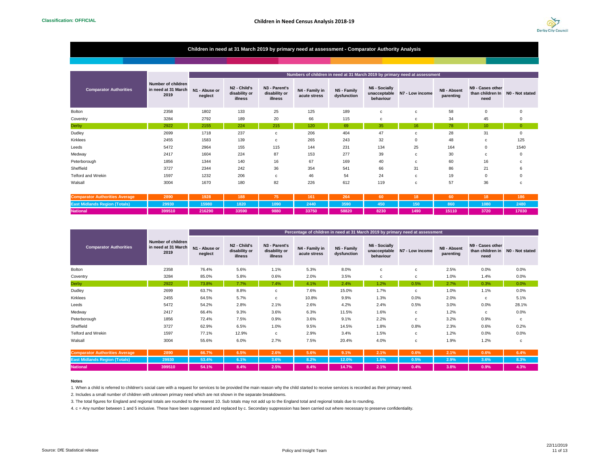

## **Children in need at 31 March 2019 by primary need at assessment - Comparator Authority Analysis**

|                                       |                                                   |                          |                                                             |                                           |                                |                            |                                            | Numbers of children in need at 31 March 2019 by primary need at assessment |                          |                                              |                 |
|---------------------------------------|---------------------------------------------------|--------------------------|-------------------------------------------------------------|-------------------------------------------|--------------------------------|----------------------------|--------------------------------------------|----------------------------------------------------------------------------|--------------------------|----------------------------------------------|-----------------|
| <b>Comparator Authorities</b>         | Number of children<br>in need at 31 March<br>2019 | N1 - Abuse or<br>neglect | N <sub>2</sub> - Child's<br>disability or<br><b>illness</b> | N3 - Parent's<br>disability or<br>illness | N4 - Family in<br>acute stress | N5 - Family<br>dysfunction | N6 - Socially<br>unacceptable<br>behaviour | N7 - Low income                                                            | N8 - Absent<br>parenting | N9 - Cases other<br>than children In<br>need | NO - Not stated |
| Bolton                                | 2358                                              | 1802                     | 133                                                         | 25                                        | 125                            | 189                        | $\mathbf{C}$                               | $\mathbf{C}$                                                               | 58                       | $\mathbf 0$                                  |                 |
| Coventry                              | 3284                                              | 2792                     | 189                                                         | 20                                        | 66                             | 115                        | $\mathbf{C}$                               | c                                                                          | 34                       | 45                                           |                 |
| <b>Derby</b>                          | 2922                                              | 2155                     | 224                                                         | 215                                       | 120                            | 69                         | 35                                         | 16                                                                         | 78                       | 10                                           | $\Omega$        |
| Dudley                                | 2699                                              | 1718                     | 237                                                         | c                                         | 206                            | 404                        | 47                                         | c                                                                          | 28                       | 31                                           |                 |
| Kirklees                              | 2455                                              | 1583                     | 139                                                         | c                                         | 265                            | 243                        | 32                                         | 0                                                                          | 48                       | c                                            | 125             |
| Leeds                                 | 5472                                              | 2964                     | 155                                                         | 115                                       | 144                            | 231                        | 134                                        | 25                                                                         | 164                      | $^{\circ}$                                   | 1540            |
| Medway                                | 2417                                              | 1604                     | 224                                                         | 87                                        | 153                            | 277                        | 39                                         | c                                                                          | 30                       | c                                            |                 |
| Peterborough                          | 1856                                              | 1344                     | 140                                                         | 16                                        | 67                             | 169                        | 40                                         | c                                                                          | 60                       | 16                                           |                 |
| Sheffield                             | 3727                                              | 2344                     | 242                                                         | 36                                        | 354                            | 541                        | 66                                         | 31                                                                         | 86                       | 21                                           |                 |
| Telford and Wrekin                    | 1597                                              | 1232                     | 206                                                         | c                                         | 46                             | 54                         | 24                                         | c                                                                          | 19                       | $\mathbf 0$                                  |                 |
| Walsall                               | 3004                                              | 1670                     | 180                                                         | 82                                        | 226                            | 612                        | 119                                        | с                                                                          | 57                       | 36                                           |                 |
| <b>Comparator Authorities Average</b> | 2890                                              | 1928                     | 188                                                         | 75                                        | 161                            | 264                        | 60                                         | 18                                                                         | 60                       | 18                                           | 186             |

| <b>Authorities Average</b> | 2890   | 1928   | 188 <sup>1</sup>  |      | 161   | ---<br>264 |      |      |       |      | 186   |
|----------------------------|--------|--------|-------------------|------|-------|------------|------|------|-------|------|-------|
| <b>IEast</b> M             |        | 15980  | 1820 <sup>1</sup> | 1090 | 2440  | 3590       | 450  | 150  |       | 1080 | 2480  |
| <b>National</b>            | 399510 | 216290 | 33590             | 9880 | 33750 | 58820      | 8230 | 1490 | 15110 | 3720 | 17030 |

|                               |                                                   |                          |                                                      |                                           |                                |                            |                                            | Percentage of children in need at 31 March 2019 by primary need at assessment |                          |                                                              |       |
|-------------------------------|---------------------------------------------------|--------------------------|------------------------------------------------------|-------------------------------------------|--------------------------------|----------------------------|--------------------------------------------|-------------------------------------------------------------------------------|--------------------------|--------------------------------------------------------------|-------|
| <b>Comparator Authorities</b> | Number of children<br>in need at 31 March<br>2019 | N1 - Abuse or<br>neglect | N <sub>2</sub> - Child's<br>disability or<br>illness | N3 - Parent's<br>disability or<br>illness | N4 - Family in<br>acute stress | N5 - Family<br>dysfunction | N6 - Socially<br>unacceptable<br>behaviour | N7 - Low income                                                               | N8 - Absent<br>parenting | N9 - Cases other<br>than children in N0 - Not stated<br>need |       |
| Bolton                        | 2358                                              | 76.4%                    | 5.6%                                                 | 1.1%                                      | 5.3%                           | 8.0%                       | c                                          | c                                                                             | 2.5%                     | 0.0%                                                         | 0.0%  |
| Coventry                      | 3284                                              | 85.0%                    | 5.8%                                                 | 0.6%                                      | 2.0%                           | 3.5%                       | c                                          | c                                                                             | 1.0%                     | 1.4%                                                         | 0.0%  |
| Derby                         | 2922                                              | 73.8%                    | 7.7%                                                 | 7.4%                                      | 4.1%                           | 2.4%                       | 1.2%                                       | 0.5%                                                                          | 2.7%                     | 0.3%                                                         | 0.0%  |
| Dudley                        | 2699                                              | 63.7%                    | 8.8%                                                 | C                                         | 7.6%                           | 15.0%                      | 1.7%                                       | c                                                                             | 1.0%                     | 1.1%                                                         | 0.0%  |
| Kirklees                      | 2455                                              | 64.5%                    | 5.7%                                                 | $\mathbf{C}$                              | 10.8%                          | 9.9%                       | 1.3%                                       | 0.0%                                                                          | 2.0%                     | c                                                            | 5.1%  |
| Leeds                         | 5472                                              | 54.2%                    | 2.8%                                                 | 2.1%                                      | 2.6%                           | 4.2%                       | 2.4%                                       | 0.5%                                                                          | 3.0%                     | 0.0%                                                         | 28.1% |
| Medway                        | 2417                                              | 66.4%                    | 9.3%                                                 | 3.6%                                      | 6.3%                           | 11.5%                      | 1.6%                                       | c                                                                             | 1.2%                     | c                                                            | 0.0%  |
| Peterborough                  | 1856                                              | 72.4%                    | 7.5%                                                 | 0.9%                                      | 3.6%                           | 9.1%                       | 2.2%                                       | c                                                                             | 3.2%                     | 0.9%                                                         | C     |
| Sheffield                     | 3727                                              | 62.9%                    | 6.5%                                                 | 1.0%                                      | 9.5%                           | 14.5%                      | 1.8%                                       | 0.8%                                                                          | 2.3%                     | 0.6%                                                         | 0.2%  |
| Telford and Wrekin            | 1597                                              | 77.1%                    | 12.9%                                                | $\mathbf{C}$                              | 2.9%                           | 3.4%                       | 1.5%                                       | c                                                                             | 1.2%                     | $0.0\%$                                                      | 0.0%  |
| Walsall                       | 3004                                              | 55.6%                    | 6.0%                                                 | 2.7%                                      | 7.5%                           | 20.4%                      | 4.0%                                       | c                                                                             | 1.9%                     | 1.2%                                                         | c     |

| <b>Comparator Authorities Average</b> | 2890   | 66.7% | 6.5% | 2.6%    | 5.6%    | 9.1% | $2.1\%$           | $0.6\%$ | 2.1%    | 0.6% | 6.4% |
|---------------------------------------|--------|-------|------|---------|---------|------|-------------------|---------|---------|------|------|
|                                       |        |       |      |         |         |      |                   |         |         |      |      |
| <b>National</b>                       | 399510 | 54.1% | 8.4% | $2.5\%$ | $8.4\%$ |      | <b>14.7%</b> 2.1% | $0.4\%$ | $3.8\%$ | 0.9% | 4.3% |

#### **Notes**

1. When a child is referred to children's social care with a request for services to be provided the main reason why the child started to receive services is recorded as their primary need.

2. Includes a small number of children with unknown primary need which are not shown in the separate breakdowns.

3. The total figures for England and regional totals are rounded to the nearest 10. Sub totals may not add up to the England total and regional totals due to rounding.

4. c = Any number between 1 and 5 inclusive. These have been suppressed and replaced by c. Secondary suppression has been carried out where necessary to preserve confidentiality.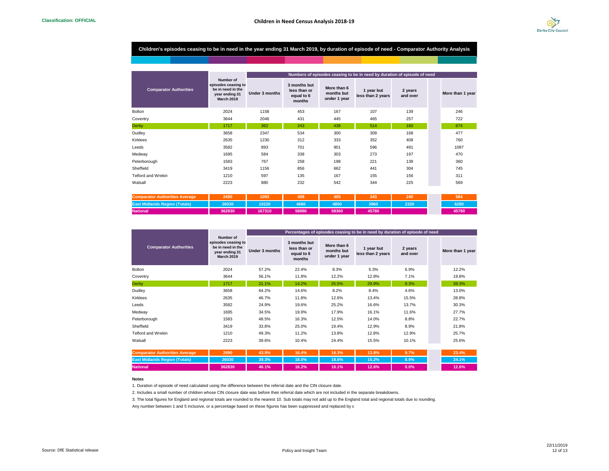

## **Children's episodes ceasing to be in need in the year ending 31 March 2019, by duration of episode of need - Comparator Authority Analysis**

|                               |                                                                                              |                |                                                      |                                           | Numbers of episodes ceasing to be in need by duration of episode of need |                     |                  |
|-------------------------------|----------------------------------------------------------------------------------------------|----------------|------------------------------------------------------|-------------------------------------------|--------------------------------------------------------------------------|---------------------|------------------|
| <b>Comparator Authorities</b> | Number of<br>episodes ceasing to<br>be in need in the<br>year ending 31<br><b>March 2019</b> | Under 3 months | 3 months but<br>less than or<br>equal to 6<br>months | More than 6<br>months but<br>under 1 year | 1 year but<br>less than 2 years                                          | 2 years<br>and over | More than 1 year |
| <b>Bolton</b>                 | 2024                                                                                         | 1158           | 453                                                  | 167                                       | 107                                                                      | 139                 | 246              |
| Coventry                      | 3644                                                                                         | 2046           | 431                                                  | 445                                       | 465                                                                      | 257                 | 722              |
| <b>Derby</b>                  | 1717                                                                                         | 362            | 243                                                  | 438                                       | 514                                                                      | 160                 | 674              |
| Dudley                        | 3658                                                                                         | 2347           | 534                                                  | 300                                       | 309                                                                      | 168                 | 477              |
| Kirklees                      | 2635                                                                                         | 1230           | 312                                                  | 333                                       | 352                                                                      | 408                 | 760              |
| Leeds                         | 3582                                                                                         | 893            | 701                                                  | 901                                       | 596                                                                      | 491                 | 1087             |
| Medway                        | 1695                                                                                         | 584            | 338                                                  | 303                                       | 273                                                                      | 197                 | 470              |
| Peterborough                  | 1583                                                                                         | 767            | 258                                                  | 198                                       | 221                                                                      | 139                 | 360              |
| Sheffield                     | 3419                                                                                         | 1156           | 856                                                  | 662                                       | 441                                                                      | 304                 | 745              |
| <b>Telford and Wrekin</b>     | 1210                                                                                         | 597            | 135                                                  | 167                                       | 155                                                                      | 156                 | 311              |
| Walsall                       | 2223                                                                                         | 880            | 232                                                  | 542                                       | 344                                                                      | 225                 | 569              |
|                               |                                                                                              |                |                                                      |                                           |                                                                          |                     |                  |

| <b>Comparator Authorities Average</b>      | 2490   | 1093   | 408   | 405   | 343   | 240  | 584   |
|--------------------------------------------|--------|--------|-------|-------|-------|------|-------|
| <b>ion (Totals)</b><br>™¤tellands Region.∟ | 26030  | 10220  | 4680  | 1850  | 3960  | 2320 | 6280  |
| National <sup>'</sup>                      | 362830 | 167310 | 58880 | 58360 | 45780 |      | 45780 |

|                                       |                                                                                              |                |                                                      |                                           | Percentages of episodes ceasing to be in need by duration of episode of need |                     |                  |
|---------------------------------------|----------------------------------------------------------------------------------------------|----------------|------------------------------------------------------|-------------------------------------------|------------------------------------------------------------------------------|---------------------|------------------|
| <b>Comparator Authorities</b>         | Number of<br>episodes ceasing to<br>be in need in the<br>year ending 31<br><b>March 2019</b> | Under 3 months | 3 months but<br>less than or<br>equal to 6<br>months | More than 6<br>months but<br>under 1 year | 1 year but<br>less than 2 years                                              | 2 years<br>and over | More than 1 year |
| Bolton                                | 2024                                                                                         | 57.2%          | 22.4%                                                | 8.3%                                      | 5.3%                                                                         | 6.9%                | 12.2%            |
| Coventry                              | 3644                                                                                         | 56.1%          | 11.8%                                                | 12.2%                                     | 12.8%                                                                        | 7.1%                | 19.8%            |
| <b>Derby</b>                          | 1717                                                                                         | 21.1%          | 14.2%                                                | 25.5%                                     | 29.9%                                                                        | 9.3%                | 39.3%            |
| Dudley                                | 3658                                                                                         | 64.2%          | 14.6%                                                | 8.2%                                      | 8.4%                                                                         | 4.6%                | 13.0%            |
| Kirklees                              | 2635                                                                                         | 46.7%          | 11.8%                                                | 12.6%                                     | 13.4%                                                                        | 15.5%               | 28.8%            |
| Leeds                                 | 3582                                                                                         | 24.9%          | 19.6%                                                | 25.2%                                     | 16.6%                                                                        | 13.7%               | 30.3%            |
| Medway                                | 1695                                                                                         | 34.5%          | 19.9%                                                | 17.9%                                     | 16.1%                                                                        | 11.6%               | 27.7%            |
| Peterborough                          | 1583                                                                                         | 48.5%          | 16.3%                                                | 12.5%                                     | 14.0%                                                                        | 8.8%                | 22.7%            |
| Sheffield                             | 3419                                                                                         | 33.8%          | 25.0%                                                | 19.4%                                     | 12.9%                                                                        | 8.9%                | 21.8%            |
| <b>Telford and Wrekin</b>             | 1210                                                                                         | 49.3%          | 11.2%                                                | 13.8%                                     | 12.8%                                                                        | 12.9%               | 25.7%            |
| Walsall                               | 2223                                                                                         | 39.6%          | 10.4%                                                | 24.4%                                     | 15.5%                                                                        | 10.1%               | 25.6%            |
| <b>Comparator Authorities Average</b> | 2490                                                                                         | 43.9%          | 16.4%                                                | 16.3%                                     | 13.8%                                                                        | 9.7%                | 23.4%            |
| <b>East Midlands Region (Totals)</b>  | 26030                                                                                        | 39.3%          | 18.0%                                                | 18.6%                                     | 15.2%                                                                        | 8.9%                | 24.1%            |

**National 362830 46.1% 16.2% 16.1% 12.6% 0.0% 12.6%**

#### **Notes**

1. Duration of episode of need calculated using the difference between the referral date and the CIN closure date.

2. Includes a small number of children whose CIN closure date was before their referral date which are not included in the separate breakdowns.

3. The total figures for England and regional totals are rounded to the nearest 10. Sub totals may not add up to the England total and regional totals due to rounding.

Any number between 1 and 5 inclusive, or a percentage based on these figures has been suppressed and replaced by c

12.6%